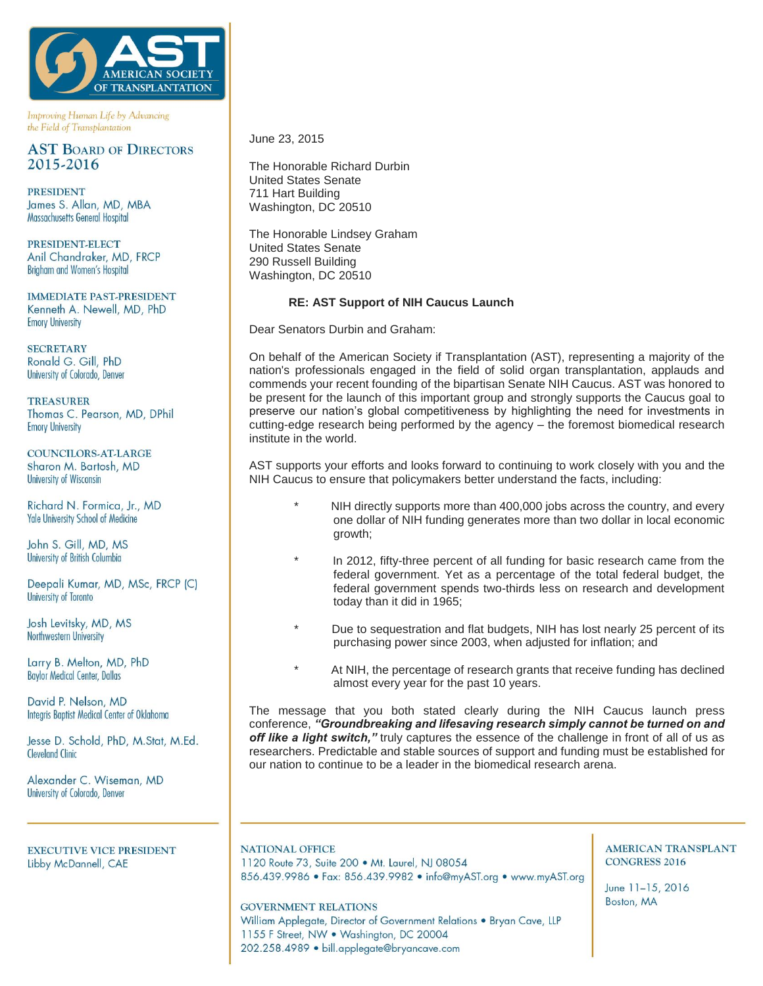

Improving Human Life by Advancing the Field of Transplantation

## **AST BOARD OF DIRECTORS** 2015-2016

**PRESIDENT** James S. Allan, MD, MBA Massachusetts General Hospital

PRESIDENT-ELECT Anil Chandraker, MD, FRCP Brigham and Women's Hospital

**IMMEDIATE PAST-PRESIDENT** Kenneth A. Newell, MD, PhD **Emory University** 

**SECRETARY** Ronald G. Gill, PhD University of Colorado, Denver

**TREASURER** Thomas C. Pearson, MD, DPhil **Emory University** 

**COUNCILORS-AT-LARGE** Sharon M. Bartosh, MD **University of Wisconsin** 

Richard N. Formica, Jr., MD **Yale University School of Medicine** 

John S. Gill, MD, MS University of British Columbia

Deepali Kumar, MD, MSc, FRCP (C) University of Toronto

Josh Levitsky, MD, MS Northwestern University

Larry B. Melton, MD, PhD **Baylor Medical Center, Dallas** 

David P. Nelson, MD Integris Baptist Medical Center of Oklahoma

Jesse D. Schold, PhD, M.Stat, M.Ed. **Cleveland Clinic** 

Alexander C. Wiseman, MD University of Colorado, Denver

**EXECUTIVE VICE PRESIDENT** Libby McDannell, CAE

June 23, 2015

The Honorable Richard Durbin United States Senate 711 Hart Building Washington, DC 20510

The Honorable Lindsey Graham United States Senate 290 Russell Building Washington, DC 20510

## **RE: AST Support of NIH Caucus Launch**

Dear Senators Durbin and Graham:

On behalf of the American Society if Transplantation (AST), representing a majority of the nation's professionals engaged in the field of solid organ transplantation, applauds and commends your recent founding of the bipartisan Senate NIH Caucus. AST was honored to be present for the launch of this important group and strongly supports the Caucus goal to preserve our nation's global competitiveness by highlighting the need for investments in cutting-edge research being performed by the agency – the foremost biomedical research institute in the world.

AST supports your efforts and looks forward to continuing to work closely with you and the NIH Caucus to ensure that policymakers better understand the facts, including:

- NIH directly supports more than 400,000 jobs across the country, and every one dollar of NIH funding generates more than two dollar in local economic growth;
- In 2012, fifty-three percent of all funding for basic research came from the federal government. Yet as a percentage of the total federal budget, the federal government spends two-thirds less on research and development today than it did in 1965;
- Due to sequestration and flat budgets, NIH has lost nearly 25 percent of its purchasing power since 2003, when adjusted for inflation; and
- At NIH, the percentage of research grants that receive funding has declined almost every year for the past 10 years.

The message that you both stated clearly during the NIH Caucus launch press conference, *"Groundbreaking and lifesaving research simply cannot be turned on and off like a light switch,"* truly captures the essence of the challenge in front of all of us as researchers. Predictable and stable sources of support and funding must be established for our nation to continue to be a leader in the biomedical research arena.

**NATIONAL OFFICE** 1120 Route 73, Suite 200 · Mt. Laurel, NJ 08054 856.439.9986 · Fax: 856.439.9982 · info@myAST.org · www.myAST.org

**GOVERNMENT RELATIONS** 

William Applegate, Director of Government Relations . Bryan Cave, LLP 1155 F Street, NW . Washington, DC 20004 202.258.4989 · bill.applegate@bryancave.com

**AMERICAN TRANSPLANT CONGRESS 2016** 

June 11-15, 2016 Boston, MA